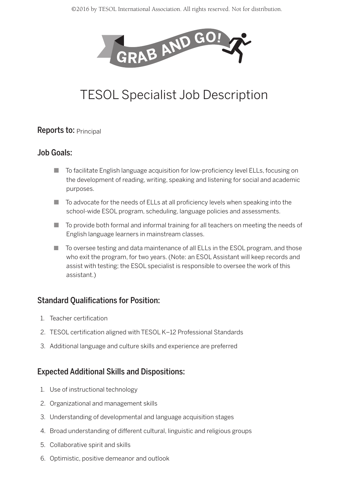

# TESOL Specialist Job Description

#### **Reports to: Principal**

### Job Goals:

- To facilitate English language acquisition for low-proficiency level ELLs, focusing on the development of reading, writing, speaking and listening for social and academic purposes.
- $\blacksquare$  To advocate for the needs of ELLs at all proficiency levels when speaking into the school-wide ESOL program, scheduling, language policies and assessments.
- $\blacksquare$  To provide both formal and informal training for all teachers on meeting the needs of English language learners in mainstream classes.
- To oversee testing and data maintenance of all ELLs in the ESOL program, and those who exit the program, for two years. (Note: an ESOL Assistant will keep records and assist with testing; the ESOL specialist is responsible to oversee the work of this assistant.)

## Standard Qualifications for Position:

- 1. Teacher certification
- 2. TESOL certification aligned with TESOL K–12 Professional Standards
- 3. Additional language and culture skills and experience are preferred

## Expected Additional Skills and Dispositions:

- 1. Use of instructional technology
- 2. Organizational and management skills
- 3. Understanding of developmental and language acquisition stages
- 4. Broad understanding of different cultural, linguistic and religious groups
- 5. Collaborative spirit and skills
- 6. Optimistic, positive demeanor and outlook